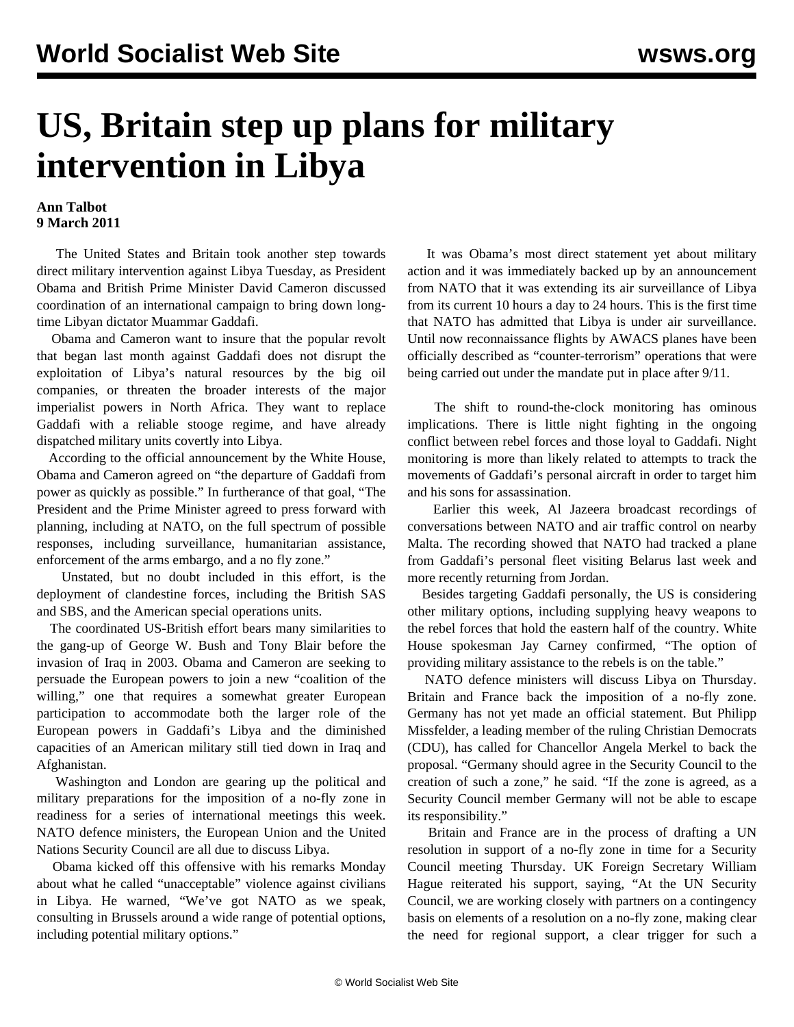## **US, Britain step up plans for military intervention in Libya**

## **Ann Talbot 9 March 2011**

 The United States and Britain took another step towards direct military intervention against Libya Tuesday, as President Obama and British Prime Minister David Cameron discussed coordination of an international campaign to bring down longtime Libyan dictator Muammar Gaddafi.

 Obama and Cameron want to insure that the popular revolt that began last month against Gaddafi does not disrupt the exploitation of Libya's natural resources by the big oil companies, or threaten the broader interests of the major imperialist powers in North Africa. They want to replace Gaddafi with a reliable stooge regime, and have already dispatched military units covertly into Libya.

 According to the official announcement by the White House, Obama and Cameron agreed on "the departure of Gaddafi from power as quickly as possible." In furtherance of that goal, "The President and the Prime Minister agreed to press forward with planning, including at NATO, on the full spectrum of possible responses, including surveillance, humanitarian assistance, enforcement of the arms embargo, and a no fly zone."

 Unstated, but no doubt included in this effort, is the deployment of clandestine forces, including the British SAS and SBS, and the American special operations units.

 The coordinated US-British effort bears many similarities to the gang-up of George W. Bush and Tony Blair before the invasion of Iraq in 2003. Obama and Cameron are seeking to persuade the European powers to join a new "coalition of the willing," one that requires a somewhat greater European participation to accommodate both the larger role of the European powers in Gaddafi's Libya and the diminished capacities of an American military still tied down in Iraq and Afghanistan.

 Washington and London are gearing up the political and military preparations for the imposition of a no-fly zone in readiness for a series of international meetings this week. NATO defence ministers, the European Union and the United Nations Security Council are all due to discuss Libya.

 Obama kicked off this offensive with his remarks Monday about what he called "unacceptable" violence against civilians in Libya. He warned, "We've got NATO as we speak, consulting in Brussels around a wide range of potential options, including potential military options."

 It was Obama's most direct statement yet about military action and it was immediately backed up by an announcement from NATO that it was extending its air surveillance of Libya from its current 10 hours a day to 24 hours. This is the first time that NATO has admitted that Libya is under air surveillance. Until now reconnaissance flights by AWACS planes have been officially described as "counter-terrorism" operations that were being carried out under the mandate put in place after 9/11.

 The shift to round-the-clock monitoring has ominous implications. There is little night fighting in the ongoing conflict between rebel forces and those loyal to Gaddafi. Night monitoring is more than likely related to attempts to track the movements of Gaddafi's personal aircraft in order to target him and his sons for assassination.

 Earlier this week, Al Jazeera broadcast recordings of conversations between NATO and air traffic control on nearby Malta. The recording showed that NATO had tracked a plane from Gaddafi's personal fleet visiting Belarus last week and more recently returning from Jordan.

 Besides targeting Gaddafi personally, the US is considering other military options, including supplying heavy weapons to the rebel forces that hold the eastern half of the country. White House spokesman Jay Carney confirmed, "The option of providing military assistance to the rebels is on the table."

 NATO defence ministers will discuss Libya on Thursday. Britain and France back the imposition of a no-fly zone. Germany has not yet made an official statement. But Philipp Missfelder, a leading member of the ruling Christian Democrats (CDU), has called for Chancellor Angela Merkel to back the proposal. "Germany should agree in the Security Council to the creation of such a zone," he said. "If the zone is agreed, as a Security Council member Germany will not be able to escape its responsibility."

 Britain and France are in the process of drafting a UN resolution in support of a no-fly zone in time for a Security Council meeting Thursday. UK Foreign Secretary William Hague reiterated his support, saying, "At the UN Security Council, we are working closely with partners on a contingency basis on elements of a resolution on a no-fly zone, making clear the need for regional support, a clear trigger for such a